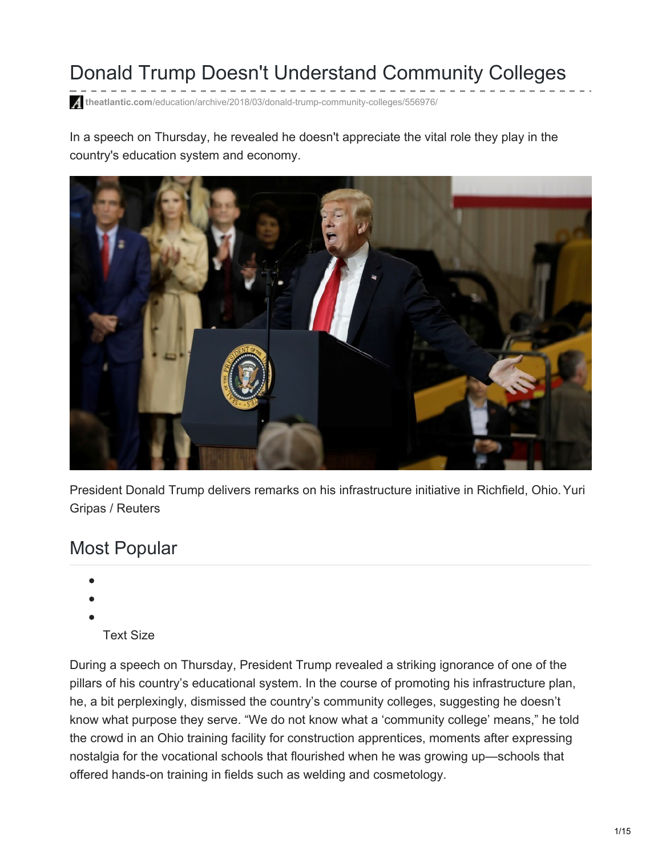# Donald Trump Doesn't Understand Community Colleges

**theatlantic.com**[/education/archive/2018/03/donald-trump-community-colleges/556976/](https://www.theatlantic.com/education/archive/2018/03/donald-trump-community-colleges/556976/)

In a speech on Thursday, he revealed he doesn't appreciate the vital role they play in the country's education system and economy.



President Donald Trump delivers remarks on his infrastructure initiative in Richfield, Ohio. Yuri Gripas / Reuters

## Most Popular

- 
- 
- - Text Size

During a speech on Thursday, President Trump revealed a striking ignorance of one of the pillars of his country's educational system. In the course of promoting his infrastructure plan, he, a bit perplexingly, dismissed the country's community colleges, suggesting he doesn't know what purpose they serve. "We do not know what a 'community college' means," he told the crowd in an Ohio training facility for construction apprentices, moments after expressing nostalgia for the vocational schools that flourished when he was growing up—schools that offered hands-on training in fields such as welding and cosmetology.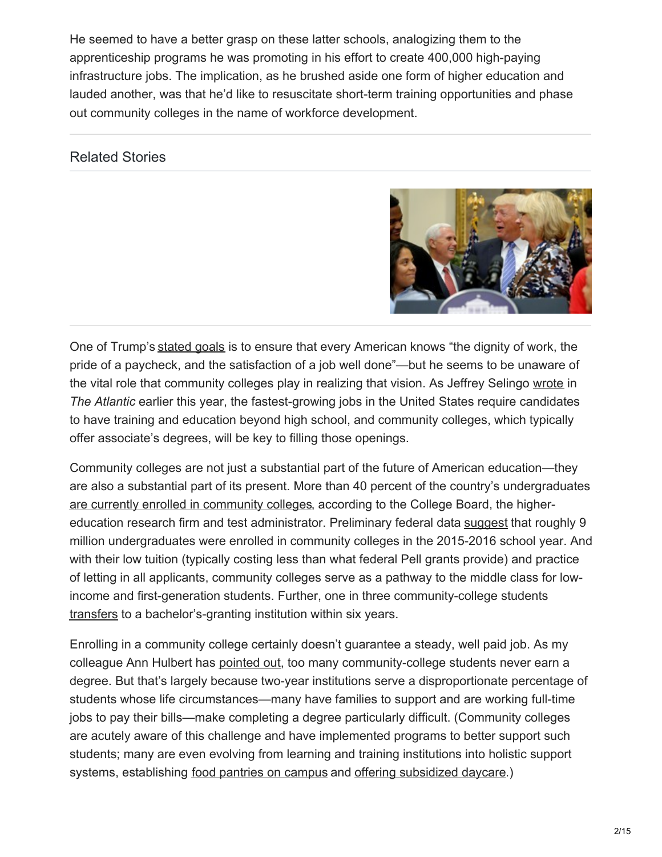He seemed to have a better grasp on these latter schools, analogizing them to the apprenticeship programs he was promoting in his effort to create 400,000 high-paying infrastructure jobs. The implication, as he brushed aside one form of higher education and lauded another, was that he'd like to resuscitate short-term training opportunities and phase out community colleges in the name of workforce development.

#### Related Stories



One of Trump's [stated](https://www.youtube.com/watch?v=ghlRrrs0eMk) goals is to ensure that every American knows "the dignity of work, the pride of a paycheck, and the satisfaction of a job well done"—but he seems to be unaware of the vital role that community colleges play in realizing that vision. As Jeffrey Selingo [wrote](https://www.theatlantic.com/education/archive/2018/01/the-false-promises-of-worker-retraining/549398/) in *The Atlantic* earlier this year, the fastest-growing jobs in the United States require candidates to have training and education beyond high school, and community colleges, which typically offer associate's degrees, will be key to filling those openings.

Community colleges are not just a substantial part of the future of American education—they are also a substantial part of its present. More than 40 percent of the country's undergraduates are currently enrolled in [community](https://trends.collegeboard.org/sites/default/files/trends-in-community-colleges-research-brief.pdf) colleges, according to the College Board, the highereducation research firm and test administrator. Preliminary federal data [suggest](https://nces.ed.gov/pubs2017/2017075rev.pdf) that roughly 9 million undergraduates were enrolled in community colleges in the 2015-2016 school year. And with their low tuition (typically costing less than what federal Pell grants provide) and practice of letting in all applicants, community colleges serve as a pathway to the middle class for lowincome and first-generation students. Further, one in three community-college students [transfers](https://ccrc.tc.columbia.edu/Community-College-FAQs.html) to a bachelor's-granting institution within six years.

Enrolling in a community college certainly doesn't guarantee a steady, well paid job. As my colleague Ann Hulbert has [pointed](https://www.theatlantic.com/magazine/archive/2014/01/how-to-escape-the-community-college-trap/355745/) out, too many community-college students never earn a degree. But that's largely because two-year institutions serve a disproportionate percentage of students whose life circumstances—many have families to support and are working full-time jobs to pay their bills—make completing a degree particularly difficult. (Community colleges are acutely aware of this challenge and have implemented programs to better support such students; many are even evolving from learning and training institutions into holistic support systems, establishing food [pantries](https://www.theatlantic.com/education/archive/2016/01/the-hidden-hunger-on-college-campuses/424047/) on campus and offering [subsidized](https://www.theatlantic.com/education/archive/2016/03/student-parents-on-college-campus/474606/) daycare.)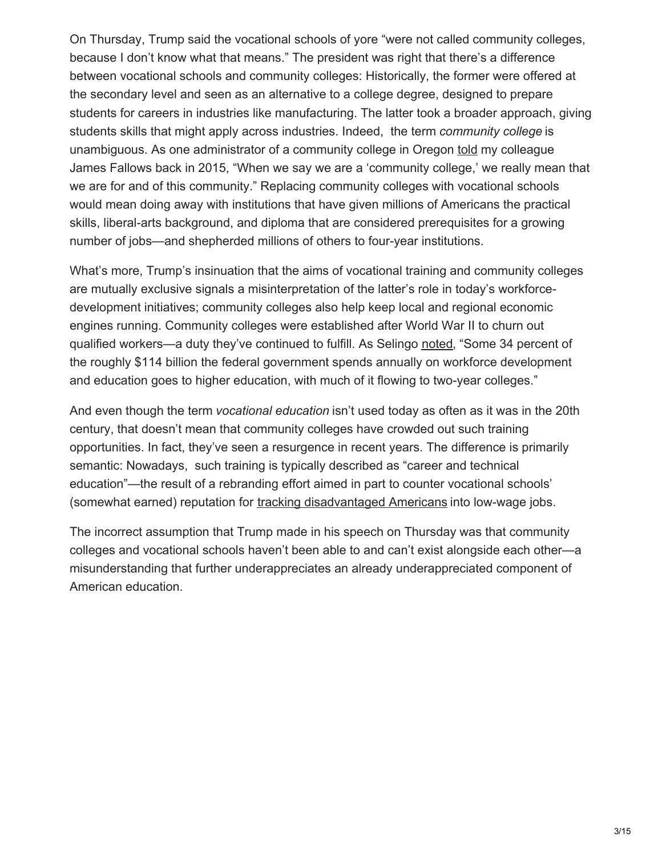On Thursday, Trump said the vocational schools of yore "were not called community colleges, because I don't know what that means." The president was right that there's a difference between vocational schools and community colleges: Historically, the former were offered at the secondary level and seen as an alternative to a college degree, designed to prepare students for careers in industries like manufacturing. The latter took a broader approach, giving students skills that might apply across industries. Indeed, the term *community college* is unambiguous. As one administrator of a community college in Oregon [told](https://www.theatlantic.com/education/archive/2015/06/cocc-and-the-story-of-bend/396425/) my colleague James Fallows back in 2015, "When we say we are a 'community college,' we really mean that we are for and of this community." Replacing community colleges with vocational schools would mean doing away with institutions that have given millions of Americans the practical skills, liberal-arts background, and diploma that are considered prerequisites for a growing number of jobs—and shepherded millions of others to four-year institutions.

What's more, Trump's insinuation that the aims of vocational training and community colleges are mutually exclusive signals a misinterpretation of the latter's role in today's workforcedevelopment initiatives; community colleges also help keep local and regional economic engines running. Community colleges were established after World War II to churn out qualified workers—a duty they've continued to fulfill. As Selingo [noted](https://www.theatlantic.com/education/archive/2018/01/the-false-promises-of-worker-retraining/549398/), "Some 34 percent of the roughly \$114 billion the federal government spends annually on workforce development and education goes to higher education, with much of it flowing to two-year colleges."

And even though the term *vocational education* isn't used today as often as it was in the 20th century, that doesn't mean that community colleges have crowded out such training opportunities. In fact, they've seen a resurgence in recent years. The difference is primarily semantic: Nowadays, such training is typically described as "career and technical education"—the result of a rebranding effort aimed in part to counter vocational schools' (somewhat earned) reputation for tracking [disadvantaged](https://www.theatlantic.com/education/archive/2017/12/do-employers-overestimate-the-value-of-a-college-degree/547343/) Americans into low-wage jobs.

The incorrect assumption that Trump made in his speech on Thursday was that community colleges and vocational schools haven't been able to and can't exist alongside each other—a misunderstanding that further underappreciates an already underappreciated component of American education.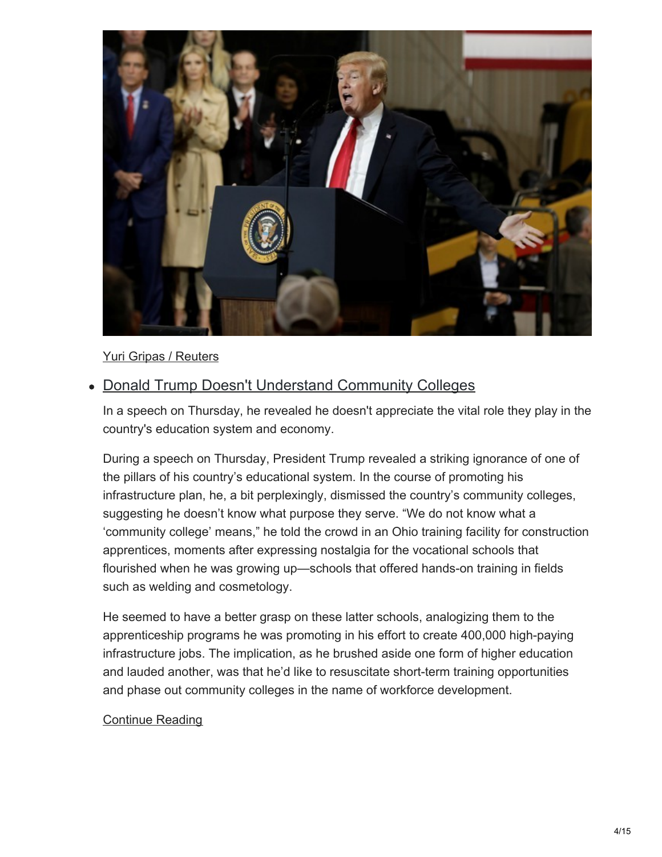

#### Yuri Gripas / Reuters

### • Donald Trump Doesn't Understand Community Colleges

In a speech on Thursday, he revealed he doesn't appreciate the vital role they play in the country's education system and economy.

During a speech on Thursday, President Trump revealed a striking ignorance of one of the pillars of his country's educational system. In the course of promoting his infrastructure plan, he, a bit perplexingly, dismissed the country's community colleges, suggesting he doesn't know what purpose they serve. "We do not know what a 'community college' means," he told the crowd in an Ohio training facility for construction apprentices, moments after expressing nostalgia for the vocational schools that flourished when he was growing up—schools that offered hands-on training in fields such as welding and cosmetology.

He seemed to have a better grasp on these latter schools, analogizing them to the apprenticeship programs he was promoting in his effort to create 400,000 high-paying infrastructure jobs. The implication, as he brushed aside one form of higher education and lauded another, was that he'd like to resuscitate short-term training opportunities and phase out community colleges in the name of workforce development.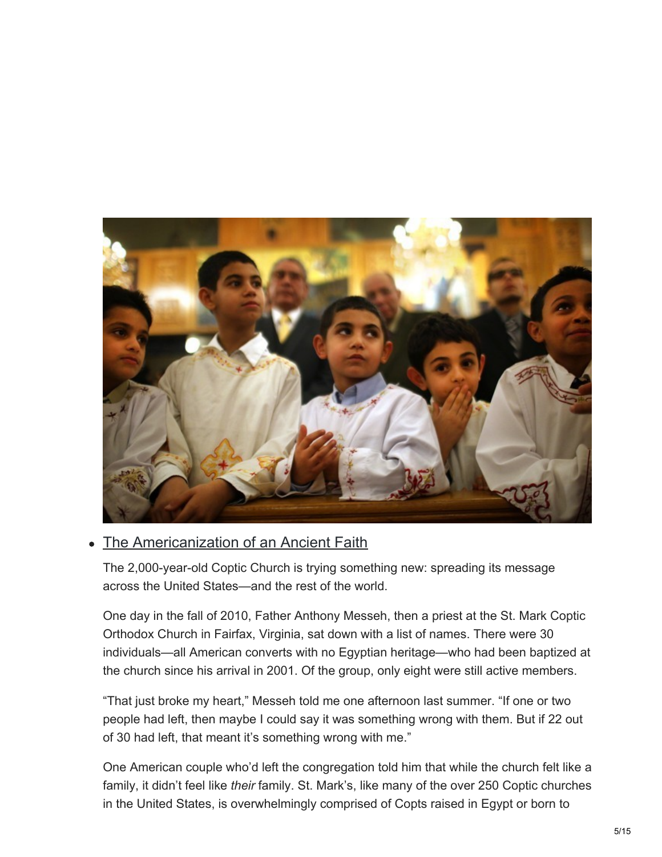

### The Americanization of an Ancient Faith

The 2,000-year-old Coptic Church is trying something new: spreading its message across the United States—and the rest of the world.

One day in the fall of 2010, Father Anthony Messeh, then a priest at the St. Mark Coptic Orthodox Church in Fairfax, Virginia, sat down with a list of names. There were 30 individuals—all American converts with no Egyptian heritage—who had been baptized at the church since his arrival in 2001. Of the group, only eight were still active members.

"That just broke my heart," Messeh told me one afternoon last summer. "If one or two people had left, then maybe I could say it was something wrong with them. But if 22 out of 30 had left, that meant it's something wrong with me."

One American couple who'd left the congregation told him that while the church felt like a family, it didn't feel like *their* family. St. Mark's, like many of the over 250 Coptic churches in the United States, is overwhelmingly comprised of Copts raised in Egypt or born to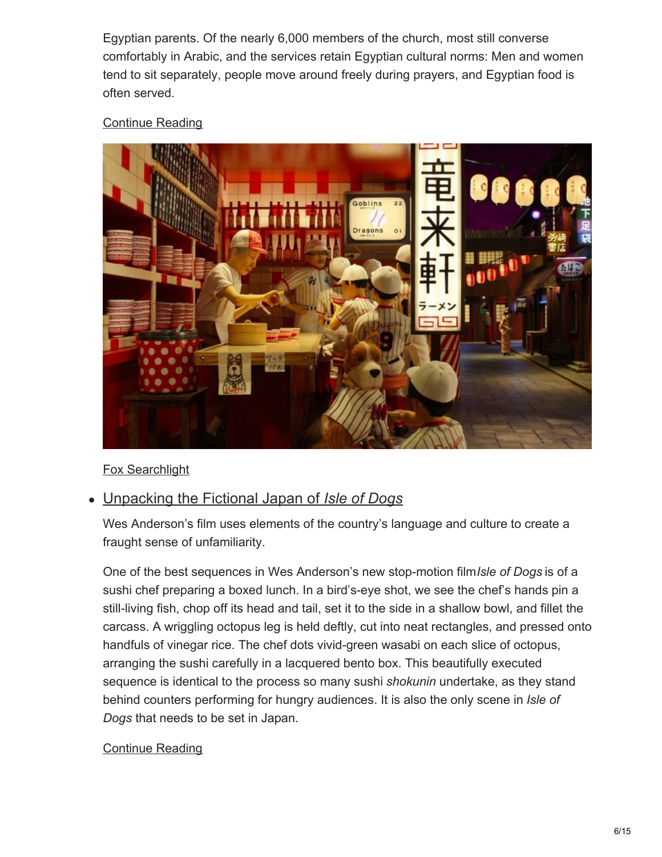Egyptian parents. Of the nearly 6,000 members of the church, most still converse comfortably in Arabic, and the services retain Egyptian cultural norms: Men and women tend to sit separately, people move around freely during prayers, and Egyptian food is often served.

#### [Continue](https://www.theatlantic.com/politics/archive/2018/03/coptic-church/555515/) Reading



#### Fox Searchlight

### Unpacking the Fictional Japan of *Isle of Dogs*

Wes Anderson's film uses elements of the country's language and culture to create a fraught sense of unfamiliarity.

One of the best sequences in Wes Anderson's new stop-motion film*Isle of Dogs* is of a sushi chef preparing a boxed lunch. In a bird's-eye shot, we see the chef's hands pin a still-living fish, chop off its head and tail, set it to the side in a shallow bowl, and fillet the carcass. A wriggling octopus leg is held deftly, cut into neat rectangles, and pressed onto handfuls of vinegar rice. The chef dots vivid-green wasabi on each slice of octopus, arranging the sushi carefully in a lacquered bento box. This beautifully executed sequence is identical to the process so many sushi *shokunin* undertake, as they stand behind counters performing for hungry audiences. It is also the only scene in *Isle of Dogs* that needs to be set in Japan.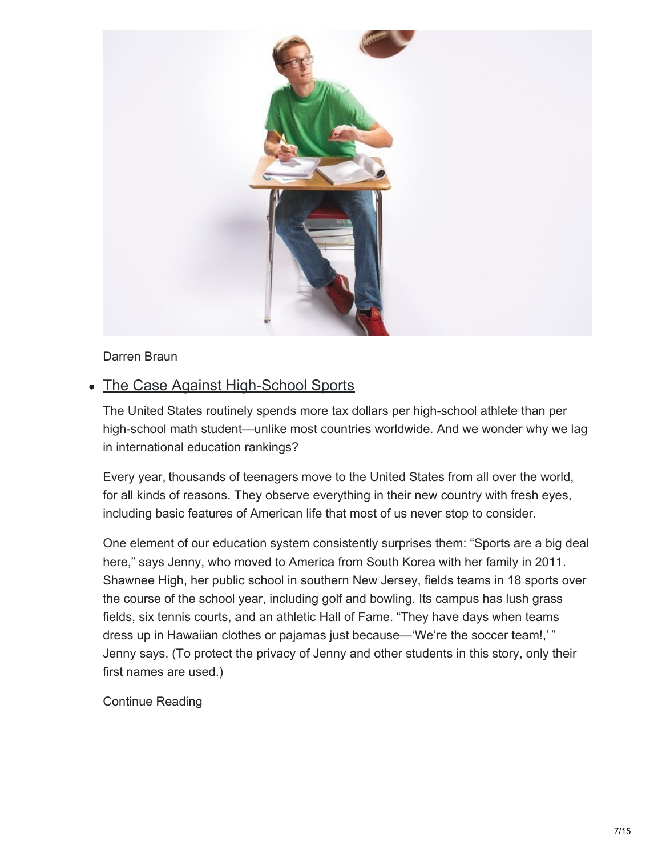

#### Darren Braun

### • The Case Against High-School Sports

The United States routinely spends more tax dollars per high-school athlete than per high-school math student—unlike most countries worldwide. And we wonder why we lag in international education rankings?

Every year, thousands of teenagers move to the United States from all over the world, for all kinds of reasons. They observe everything in their new country with fresh eyes, including basic features of American life that most of us never stop to consider.

One element of our education system consistently surprises them: "Sports are a big deal here," says Jenny, who moved to America from South Korea with her family in 2011. Shawnee High, her public school in southern New Jersey, fields teams in 18 sports over the course of the school year, including golf and bowling. Its campus has lush grass fields, six tennis courts, and an athletic Hall of Fame. "They have days when teams dress up in Hawaiian clothes or pajamas just because—'We're the soccer team!,' " Jenny says. (To protect the privacy of Jenny and other students in this story, only their first names are used.)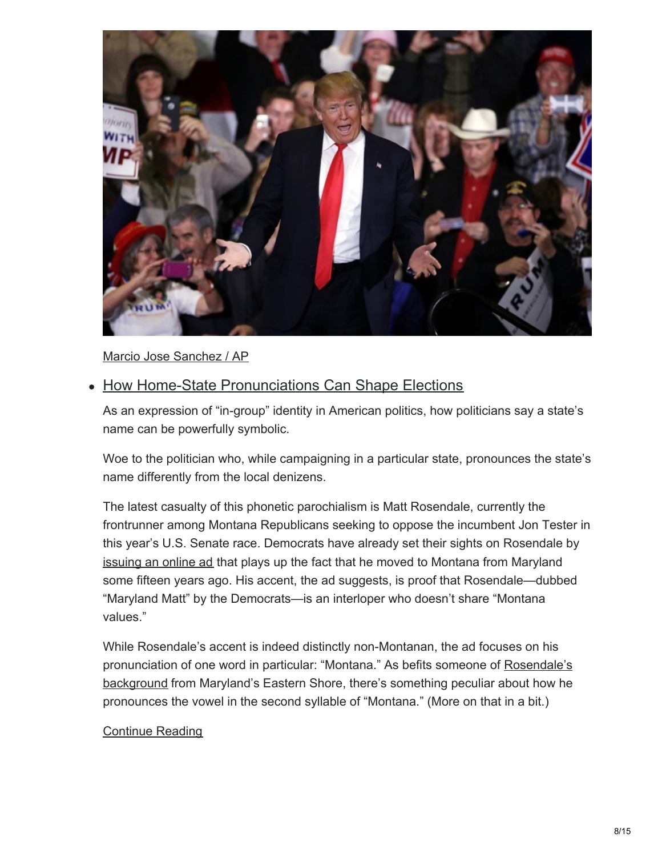

Marcio Jose Sanchez / AP

### • How Home-State Pronunciations Can Shape Elections

As an expression of "in-group" identity in American politics, how politicians say a state's name can be powerfully symbolic.

Woe to the politician who, while campaigning in a particular state, pronounces the state's name differently from the local denizens.

The latest casualty of this phonetic parochialism is Matt Rosendale, currently the frontrunner among Montana Republicans seeking to oppose the incumbent Jon Tester in this year's U.S. Senate race. Democrats have already set their sights on Rosendale by [issuing](http://montanademocrats.org/news/meet-maryland-matt-montana-democrats-launch-new-statewide-digital-ad/) an online ad that plays up the fact that he moved to Montana from Maryland some fifteen years ago. His accent, the ad suggests, is proof that Rosendale—dubbed "Maryland Matt" by the Democrats—is an interloper who doesn't share "Montana values."

While Rosendale's accent is indeed distinctly non-Montanan, the ad focuses on his [pronunciation](http://www.myeasternshoremd.com/news/queen_annes_county/former-qa-resident-rosendale-serving-in-montana-legislature/article_d846ff77-9f66-5828-9527-bedac4556951.html) of one word in particular: "Montana." As befits someone of Rosendale's background from Maryland's Eastern Shore, there's something peculiar about how he pronounces the vowel in the second syllable of "Montana." (More on that in a bit.)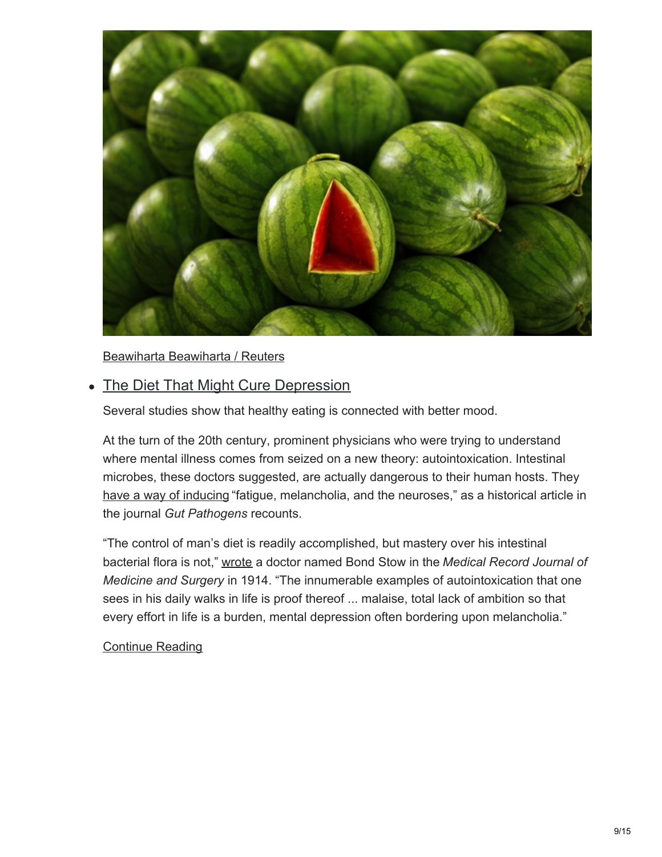

Beawiharta Beawiharta / Reuters

### • The Diet That Might Cure Depression

Several studies show that healthy eating is connected with better mood.

At the turn of the 20th century, prominent physicians who were trying to understand where mental illness comes from seized on a new theory: autointoxication. Intestinal microbes, these doctors suggested, are actually dangerous to their human hosts. They have a way of [inducing](https://www.ncbi.nlm.nih.gov/pmc/articles/PMC3607857/) "fatigue, melancholia, and the neuroses," as a historical article in the journal *Gut Pathogens* recounts.

"The control of man's diet is readily accomplished, but mastery over his intestinal bacterial flora is not," [wrote](https://www.ncbi.nlm.nih.gov/pmc/articles/PMC3607857/) a doctor named Bond Stow in the *Medical Record Journal of Medicine and Surgery* in 1914. "The innumerable examples of autointoxication that one sees in his daily walks in life is proof thereof ... malaise, total lack of ambition so that every effort in life is a burden, mental depression often bordering upon melancholia."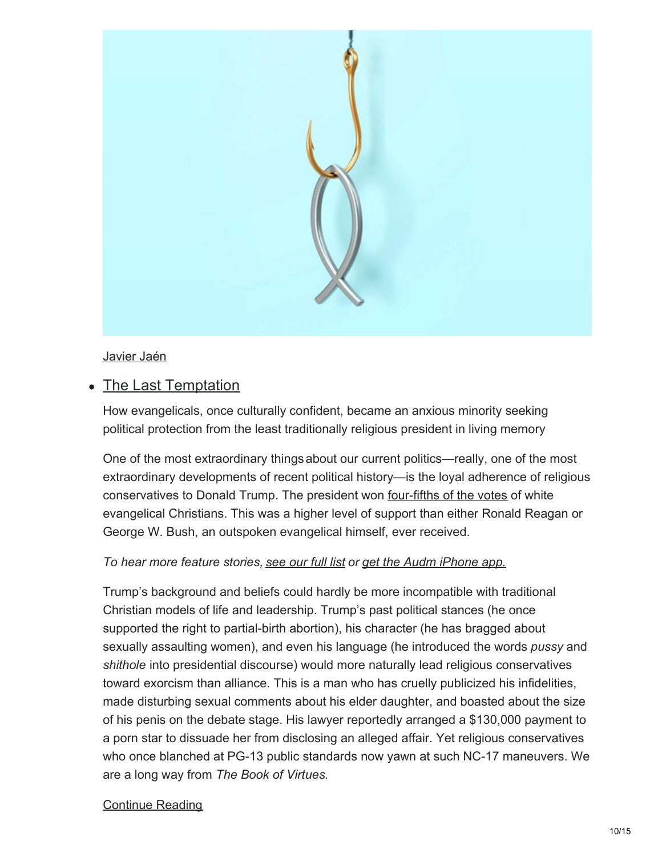

#### Javier Jaén

### • The Last Temptation

How evangelicals, once culturally confident, became an anxious minority seeking political protection from the least traditionally religious president in living memory

One of the most extraordinary thingsabout our current politics—really, one of the most extraordinary developments of recent political history—is the loyal adherence of religious conservatives to Donald Trump. The president won [four-fifths](http://www.pewresearch.org/fact-tank/2016/11/09/how-the-faithful-voted-a-preliminary-2016-analysis/) of the votes of white evangelical Christians. This was a higher level of support than either Ronald Reagan or George W. Bush, an outspoken evangelical himself, ever received.

#### *To hear more feature stories, [see](https://www.theatlantic.com/podcasts/audio-articles/?utm_source=audioarticleembed) our full list or get the Audm [iPhone](https://goo.gl/oKrUp2) app.*

Trump's background and beliefs could hardly be more incompatible with traditional Christian models of life and leadership. Trump's past political stances (he once supported the right to partial-birth abortion), his character (he has bragged about sexually assaulting women), and even his language (he introduced the words *pussy* and *shithole* into presidential discourse) would more naturally lead religious conservatives toward exorcism than alliance. This is a man who has cruelly publicized his infidelities, made disturbing sexual comments about his elder daughter, and boasted about the size of his penis on the debate stage. His lawyer reportedly arranged a \$130,000 payment to a porn star to dissuade her from disclosing an alleged affair. Yet religious conservatives who once blanched at PG-13 public standards now yawn at such NC-17 maneuvers. We are a long way from *The Book of Virtues*.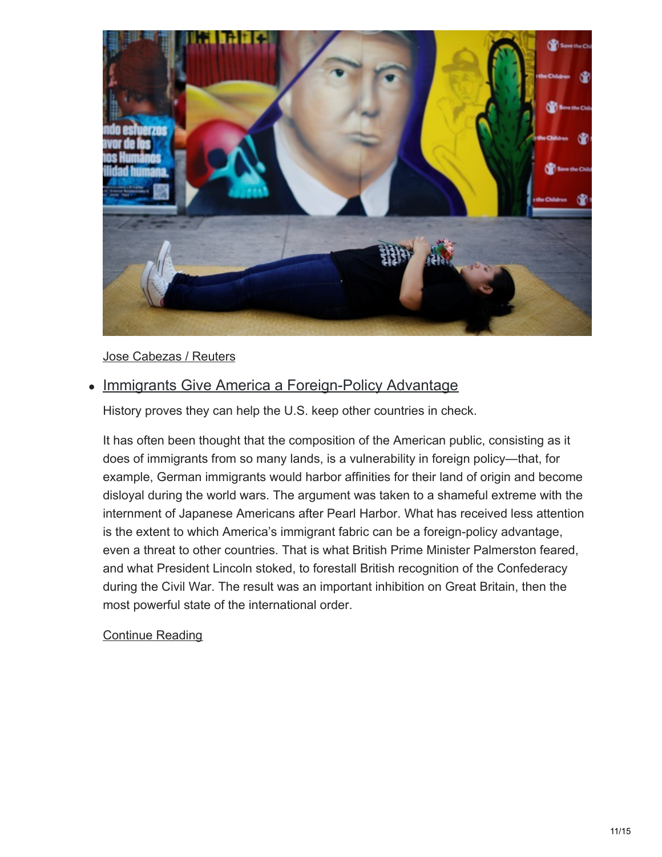

#### Jose Cabezas / Reuters

### • Immigrants Give America a Foreign-Policy Advantage

History proves they can help the U.S. keep other countries in check.

It has often been thought that the composition of the American public, consisting as it does of immigrants from so many lands, is a vulnerability in foreign policy—that, for example, German immigrants would harbor affinities for their land of origin and become disloyal during the world wars. The argument was taken to a shameful extreme with the internment of Japanese Americans after Pearl Harbor. What has received less attention is the extent to which America's immigrant fabric can be a foreign-policy advantage, even a threat to other countries. That is what British Prime Minister Palmerston feared, and what President Lincoln stoked, to forestall British recognition of the Confederacy during the Civil War. The result was an important inhibition on Great Britain, then the most powerful state of the international order.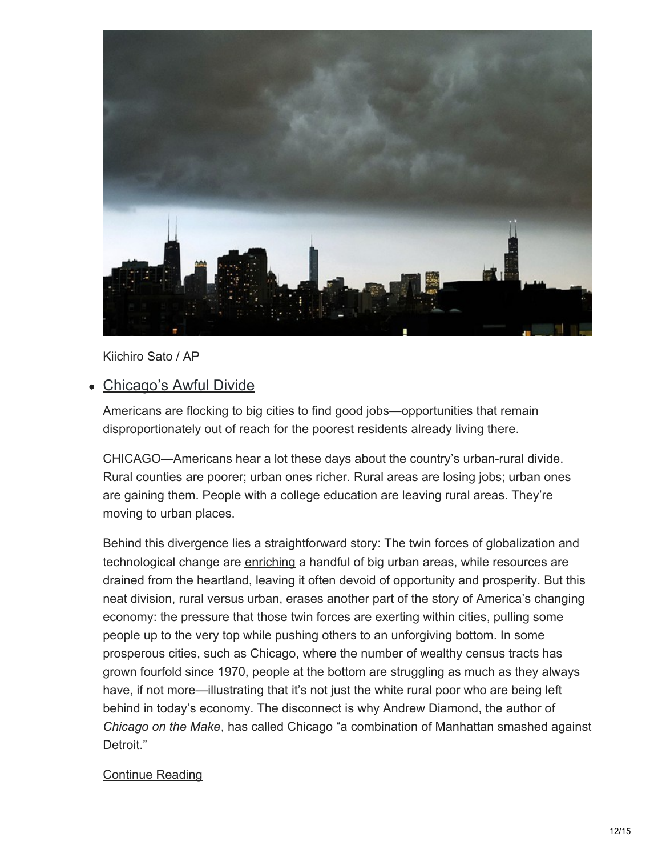

#### Kiichiro Sato / AP

#### Chicago's Awful Divide

Americans are flocking to big cities to find good jobs—opportunities that remain disproportionately out of reach for the poorest residents already living there.

CHICAGO—Americans hear a lot these days about the country's urban-rural divide. Rural counties are poorer; urban ones richer. Rural areas are losing jobs; urban ones are gaining them. People with a college education are leaving rural areas. They're moving to urban places.

Behind this divergence lies a straightforward story: The twin forces of globalization and technological change are [enriching](https://www.brookings.edu/research/understanding-us-productivity-trends-from-the-bottom-up/) a handful of big urban areas, while resources are drained from the heartland, leaving it often devoid of opportunity and prosperity. But this neat division, rural versus urban, erases another part of the story of America's changing economy: the pressure that those twin forces are exerting within cities, pulling some people up to the very top while pushing others to an unforgiving bottom. In some prosperous cities, such as Chicago, where the number of [wealthy](https://voorheescenter.wordpress.com/2015/03/11/a-deepening-divide-income-inequality-grows-spatially-in-chicago/) census tracts has grown fourfold since 1970, people at the bottom are struggling as much as they always have, if not more—illustrating that it's not just the white rural poor who are being left behind in today's economy. The disconnect is why Andrew Diamond, the author of *Chicago on the Make*, has called Chicago "a combination of Manhattan smashed against Detroit."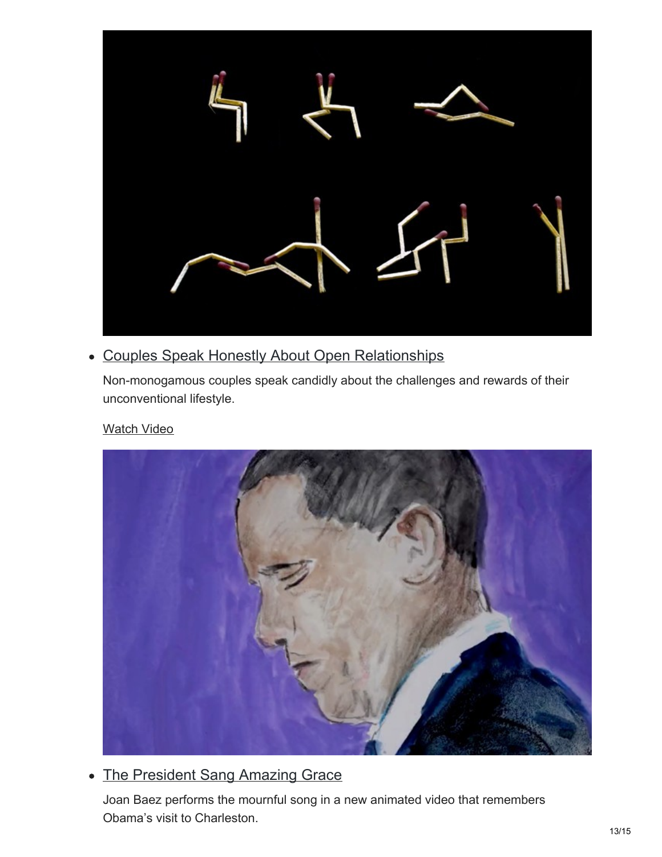

### Couples Speak Honestly About Open Relationships

Non-monogamous couples speak candidly about the challenges and rewards of their unconventional lifestyle.

#### [Watch](https://www.theatlantic.com/video/index/556988/open-relationship-nonmonogamy/) Video



### • The President Sang Amazing Grace

Joan Baez performs the mournful song in a new animated video that remembers Obama's visit to Charleston.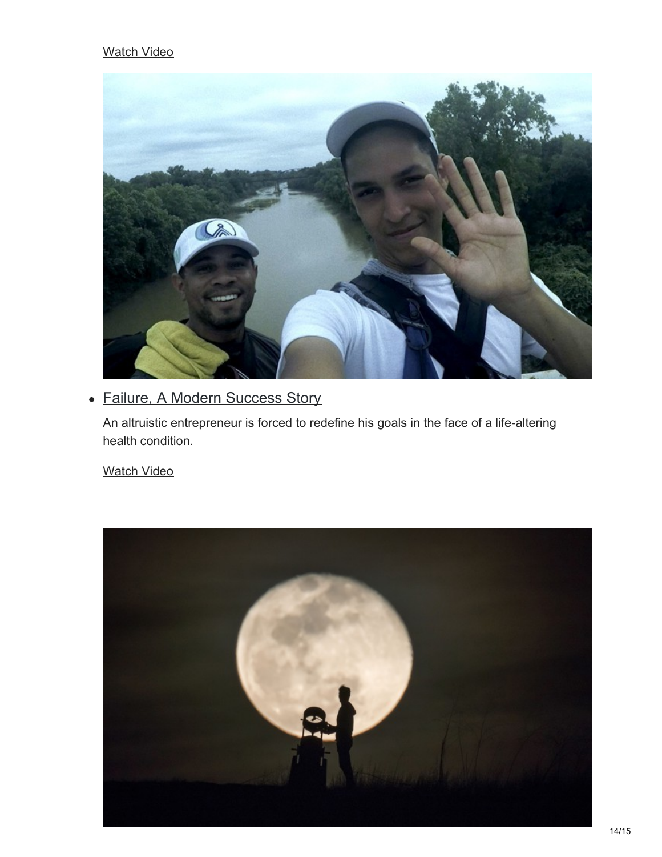#### [Watch](https://www.theatlantic.com/video/index/556574/joan-baez-amazing-grace/) Video



## Failure, A Modern Success Story

An altruistic entrepreneur is forced to redefine his goals in the face of a life-altering health condition.

[Watch](https://www.theatlantic.com/video/index/555992/failure-modern-success/) Video